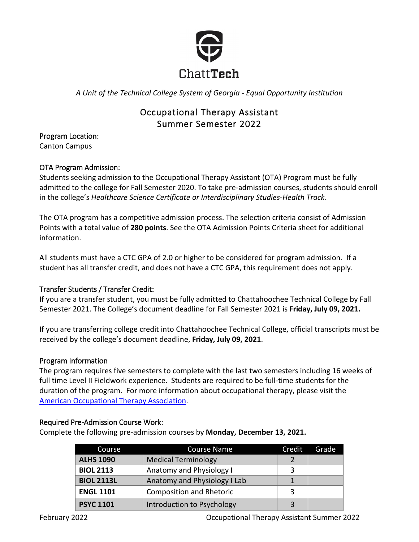

*A Unit of the Technical College System of Georgia - Equal Opportunity Institution*

# Occupational Therapy Assistant Summer Semester 2022

Program Location: Canton Campus

# OTA Program Admission:

Students seeking admission to the Occupational Therapy Assistant (OTA) Program must be fully admitted to the college for Fall Semester 2020. To take pre-admission courses, students should enroll in the college's *Healthcare Science Certificate or Interdisciplinary Studies-Health Track.* 

The OTA program has a competitive admission process. The selection criteria consist of Admission Points with a total value of **280 points**. See the OTA Admission Points Criteria sheet for additional information.

All students must have a CTC GPA of 2.0 or higher to be considered for program admission. If a student has all transfer credit, and does not have a CTC GPA, this requirement does not apply.

# Transfer Students / Transfer Credit:

If you are a transfer student, you must be fully admitted to Chattahoochee Technical College by Fall Semester 2021. The College's document deadline for Fall Semester 2021 is **Friday, July 09, 2021.**

If you are transferring college credit into Chattahoochee Technical College, official transcripts must be received by the college's document deadline, **Friday, July 09, 2021**.

# Program Information

The program requires five semesters to complete with the last two semesters including 16 weeks of full time Level II Fieldwork experience. Students are required to be full-time students for the duration of the program. For more information about occupational therapy, please visit the [American Occupational Therapy Association.](https://www.aota.org/)

# Required Pre-Admission Course Work:

Complete the following pre-admission courses by **Monday, December 13, 2021.**

| Course            | <b>Course Name</b>           | Credit | Grade |
|-------------------|------------------------------|--------|-------|
| <b>ALHS 1090</b>  | <b>Medical Terminology</b>   |        |       |
| <b>BIOL 2113</b>  | Anatomy and Physiology I     | 3      |       |
| <b>BIOL 2113L</b> | Anatomy and Physiology I Lab |        |       |
| <b>ENGL 1101</b>  | Composition and Rhetoric     | 3      |       |
| <b>PSYC 1101</b>  | Introduction to Psychology   |        |       |

February 2022 Occupational Therapy Assistant Summer 2022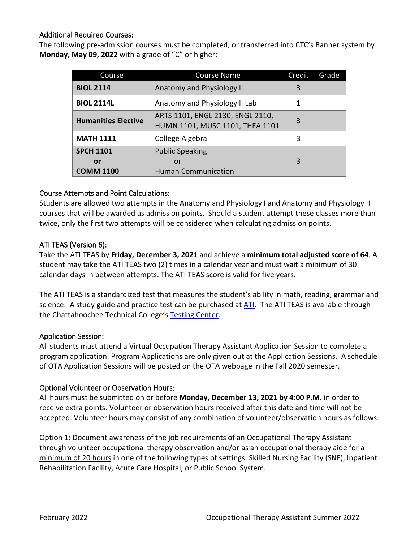## Additional Required Courses:

The following pre-admission courses must be completed, or transferred into CTC's Banner system by **Monday, May 09, 2022** with a grade of "C" or higher:

| Course                     | <b>Course Name</b>                                                  | Credit | Grade |
|----------------------------|---------------------------------------------------------------------|--------|-------|
| <b>BIOL 2114</b>           | Anatomy and Physiology II                                           | 3      |       |
| <b>BIOL 2114L</b>          | Anatomy and Physiology II Lab                                       | 1      |       |
| <b>Humanities Elective</b> | ARTS 1101, ENGL 2130, ENGL 2110,<br>HUMN 1101, MUSC 1101, THEA 1101 | 3      |       |
| <b>MATH 1111</b>           | College Algebra                                                     | 3      |       |
| <b>SPCH 1101</b>           | <b>Public Speaking</b>                                              |        |       |
| or                         | or                                                                  | 3      |       |
| <b>COMM 1100</b>           | <b>Human Communication</b>                                          |        |       |

## Course Attempts and Point Calculations:

Students are allowed two attempts in the Anatomy and Physiology I and Anatomy and Physiology II courses that will be awarded as admission points. Should a student attempt these classes more than twice, only the first two attempts will be considered when calculating admission points.

## ATI TEAS (Version 6):

Take the ATI TEAS by **Friday, December 3, 2021** and achieve a **minimum total adjusted score of 64**. A student may take the ATI TEAS two (2) times in a calendar year and must wait a minimum of 30 calendar days in between attempts. The ATI TEAS score is valid for five years.

The ATI TEAS is a standardized test that measures the student's ability in math, reading, grammar and science. A study guide and practice test can be purchased at  $ATI$ . The ATI TEAS is available through the Chattahoochee Technical College'[s Testing Center.](http://www.chattahoocheetech.edu/ati-teas/)

#### Application Session:

All students must attend a Virtual Occupation Therapy Assistant Application Session to complete a program application. Program Applications are only given out at the Application Sessions. A schedule of OTA Application Sessions will be posted on the OTA webpage in the Fall 2020 semester.

# Optional Volunteer or Observation Hours:

All hours must be submitted on or before **Monday, December 13, 2021 by 4:00 P.M.** in order to receive extra points. Volunteer or observation hours received after this date and time will not be accepted. Volunteer hours may consist of any combination of volunteer/observation hours as follows:

Option 1: Document awareness of the job requirements of an Occupational Therapy Assistant through volunteer occupational therapy observation and/or as an occupational therapy aide for a minimum of 20 hours in one of the following types of settings: Skilled Nursing Facility (SNF), Inpatient Rehabilitation Facility, Acute Care Hospital, or Public School System.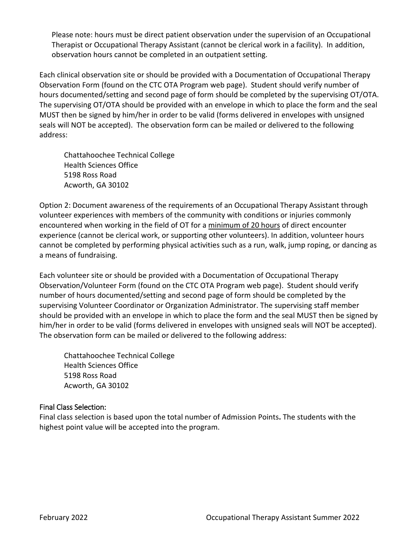Please note: hours must be direct patient observation under the supervision of an Occupational Therapist or Occupational Therapy Assistant (cannot be clerical work in a facility). In addition, observation hours cannot be completed in an outpatient setting.

Each clinical observation site or should be provided with a Documentation of Occupational Therapy Observation Form (found on the CTC OTA Program web page). Student should verify number of hours documented/setting and second page of form should be completed by the supervising OT/OTA. The supervising OT/OTA should be provided with an envelope in which to place the form and the seal MUST then be signed by him/her in order to be valid (forms delivered in envelopes with unsigned seals will NOT be accepted). The observation form can be mailed or delivered to the following address:

Chattahoochee Technical College Health Sciences Office 5198 Ross Road Acworth, GA 30102

Option 2: Document awareness of the requirements of an Occupational Therapy Assistant through volunteer experiences with members of the community with conditions or injuries commonly encountered when working in the field of OT for a minimum of 20 hours of direct encounter experience (cannot be clerical work, or supporting other volunteers). In addition, volunteer hours cannot be completed by performing physical activities such as a run, walk, jump roping, or dancing as a means of fundraising.

Each volunteer site or should be provided with a Documentation of Occupational Therapy Observation/Volunteer Form (found on the CTC OTA Program web page). Student should verify number of hours documented/setting and second page of form should be completed by the supervising Volunteer Coordinator or Organization Administrator. The supervising staff member should be provided with an envelope in which to place the form and the seal MUST then be signed by him/her in order to be valid (forms delivered in envelopes with unsigned seals will NOT be accepted). The observation form can be mailed or delivered to the following address:

Chattahoochee Technical College Health Sciences Office 5198 Ross Road Acworth, GA 30102

# Final Class Selection:

Final class selection is based upon the total number of Admission Points**.** The students with the highest point value will be accepted into the program.